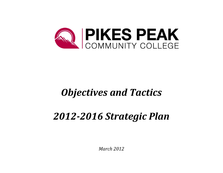

# *Objectives* and Tactics

# *2012-2016 Strategic Plan*

*March 2012*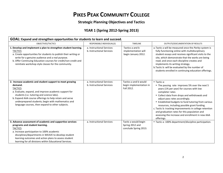## **PIKES PEAK COMMUNITY COLLEGE**

#### **Strategic Planning Objectives and Tactics**

### **YEAR 1 (Spring 2012-Spring 2013)**

| GOAL: Expand and strengthen opportunities for students to learn and succeed.                                                                                                                                                                                                                                                                                      |                                                        |                                                                  |                                                                                                                                                                                                                                                                                                                                                                                                                                                                                                             |  |
|-------------------------------------------------------------------------------------------------------------------------------------------------------------------------------------------------------------------------------------------------------------------------------------------------------------------------------------------------------------------|--------------------------------------------------------|------------------------------------------------------------------|-------------------------------------------------------------------------------------------------------------------------------------------------------------------------------------------------------------------------------------------------------------------------------------------------------------------------------------------------------------------------------------------------------------------------------------------------------------------------------------------------------------|--|
| OBJECTIVES/TACTICS                                                                                                                                                                                                                                                                                                                                                | RESPONSIBLE INDIVIDUAL(S)                              | <b>TIMELINE</b>                                                  | OUTPUTS/DOCUMENTATION OF RESULTS                                                                                                                                                                                                                                                                                                                                                                                                                                                                            |  |
| 1. Develop and implement a plan to strengthen student learning.<br><b>TACTICS</b><br>a. Create opportunities for students to publish their writing or<br>write for a genuine audience and a real purpose.<br>b. Offer Continuing Education courses for credit/non-credit and<br>reinitiate workshop style classes for the community.                              | a. Instructional Services<br>b. Instructional Services | Tactics a and b<br>implementation will<br>begin January 2012.    | a. Tactic a will be measured once the Parley system is<br>fully functioning online with multidisciplinary<br>student essays and receives significant visits to the<br>site, which demonstrate that the works are being<br>read; and once each discipline creates and<br>implements its writing strategy.<br>b. Tactic b: will be evaluated by the number of<br>students enrolled in continuing education offerings.                                                                                         |  |
| 2. Increase academic and student support to meet growing<br>demand.<br><b>TACTICS</b><br>a. Evaluate, expand, and improve academic support for<br>students (i.e. tutoring and science labs).<br>b. Expand AAA course offerings to help retain and serve<br>underprepared students; begin with mathematics and<br>language courses, then expand to other subjects. | a. Instructional Services<br>b. Instructional Services | Tactics a and b would<br>begin implementation in<br>Fall 2012.   | $\bullet$ Tactic a:<br>• The passing rate improves 5% over the next 5<br>years (1% per year) for courses with low<br>completer rates<br>• Collect data from drops and withdrawals and<br>adjust pass rates accordingly.<br>• Established budgets to fund tutoring from various<br>resources, including possible grant funding.<br>c. Tactic b: tracking improvements in college retention<br>and graduation rates for this population and<br>assessing the increase and enrollment in new AAA<br>offerings. |  |
| 3. Advance assessment of academic and supportive services<br>programs and student learning.<br><b>TACTICS</b><br>a. Increase participation to 100% academic<br>disciplines/departments in WEAVE to develop student<br>learning outcomes and action plans to assess student<br>learning for all divisions within Educational Services.                             | a. Instructional Services                              | Tactic a would begin<br>Spring 2012 and<br>conclude Spring 2013. | • Tactic a: 100% department/discipline participation.                                                                                                                                                                                                                                                                                                                                                                                                                                                       |  |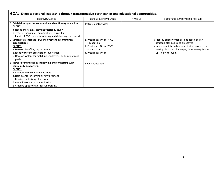| GOAL: Exercise regional leadership through transformative partnerships and educational opportunities.                                                                                                                                                                                                             |                                                                                                               |                 |                                                                                                                                                                                                                      |  |  |
|-------------------------------------------------------------------------------------------------------------------------------------------------------------------------------------------------------------------------------------------------------------------------------------------------------------------|---------------------------------------------------------------------------------------------------------------|-----------------|----------------------------------------------------------------------------------------------------------------------------------------------------------------------------------------------------------------------|--|--|
| OBJECTIVES/TACTICS                                                                                                                                                                                                                                                                                                | RESPONSIBLE INDIVIDUAL(S)                                                                                     | <b>TIMELINE</b> | OUTPUTS/DOCUMENTATION OF RESULTS                                                                                                                                                                                     |  |  |
| 1. Establish support for community and continuing education.<br><b>TACTICS</b><br>a. Needs analysis/assessment/feasibility study.<br>b. Types of individuals, organizations, curriculum.<br>c. Identify PPCC system for offering and delivering coursework.                                                       | <b>Instructional Services</b>                                                                                 |                 |                                                                                                                                                                                                                      |  |  |
| 2. Strategically increase PPCC involvement in community<br>organizations.<br><b>TACTICS</b><br>a. Develop list of key organizations.<br>b. Identify current organization involvement.<br>c. Develop system for matching employees; build into annual<br>goals.                                                    | a. President's Office/PPCC<br>Foundation<br>b. President's Office/PPCC<br>Foundation<br>c. President's Office |                 | a. Identify priority organizations based on key<br>strategic plan goals and objectives<br>b. Implement internal communication process for<br>vetting ideas and challenges, determining follow-<br>up/follow-through. |  |  |
| 3. Increase fundraising by identifying and connecting with<br>community supporters.<br><b>TACTICS</b><br>a. Connect with community leaders.<br>b. Host events for community involvement.<br>c. Finalize fundraising objectives.<br>d. Alumni base and communication<br>e. Creative opportunities for fundraising. | <b>PPCC Foundation</b>                                                                                        |                 |                                                                                                                                                                                                                      |  |  |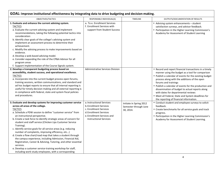| GOAL: Improve institutional effectiveness by integrating data to drive budgeting and decision-making.                                                                                                                                                                                                                                                                                                                                                                                                                                                                                                                                                                                                                                                                                                                        |                                                                                                                                                                        |                                                               |                                                                                                                                                                                                                                                                                                                                                                                                                                                                                                  |
|------------------------------------------------------------------------------------------------------------------------------------------------------------------------------------------------------------------------------------------------------------------------------------------------------------------------------------------------------------------------------------------------------------------------------------------------------------------------------------------------------------------------------------------------------------------------------------------------------------------------------------------------------------------------------------------------------------------------------------------------------------------------------------------------------------------------------|------------------------------------------------------------------------------------------------------------------------------------------------------------------------|---------------------------------------------------------------|--------------------------------------------------------------------------------------------------------------------------------------------------------------------------------------------------------------------------------------------------------------------------------------------------------------------------------------------------------------------------------------------------------------------------------------------------------------------------------------------------|
| OBJECTIVES/TACTICS                                                                                                                                                                                                                                                                                                                                                                                                                                                                                                                                                                                                                                                                                                                                                                                                           | RESPONSIBLE INDIVIDUAL(S)                                                                                                                                              | <b>TIMELINE</b>                                               | OUTPUTS/DOCUMENTATION OF RESULTS                                                                                                                                                                                                                                                                                                                                                                                                                                                                 |
| 1. Evaluate and enhance the current advising system.<br><b>TACTICS</b><br>a. Evaluate the current advising system and implement<br>recommendations, taking the following potential tactics into<br>consideration:<br>b. Identify clear goals of the college's advising system and<br>implement an assessment process to determine their<br>achievement.<br>c. Modify the advising process to make improvements based on<br>evidence.<br>d. Develop a web-based advising model.<br>e. Consider expanding the role of the CP&A Advisor for all<br>program areas<br>f. Support implementation of the Course Signals system.                                                                                                                                                                                                     | a. To e. Enrollment Services<br>f. Enrollment Services with<br>support from Student Success                                                                            |                                                               | • Advising system enhancements - student<br>satisfaction surveys, and advisor feedback.<br>• Participation in the Higher Learning Commission's<br>Academy for Assessment of Student Learning                                                                                                                                                                                                                                                                                                     |
| 2. Develop a transparent budgeting process based on<br>accessibility, student success, and operational excellence.<br><b>TACTICS</b><br>a. Incorporate into the current budget process open forums,<br>training sessions, written communications, and standard and<br>ad hoc budget reports to ensure that all internal reporting is<br>useful for timely decision making and all external reporting is<br>in compliance with federal, state and system fiscal policies<br>and procedures.                                                                                                                                                                                                                                                                                                                                   | <b>Administrative Services Division</b>                                                                                                                                |                                                               | • Record and report financial transactions in a timely<br>manner using the budget as a tool for comparison<br>• Publish a calendar of events for the existing budget<br>process along with the additions of the open<br>forums and trainings<br>• Publish a calendar of events for the production and<br>dissemination of budget to actual reports along<br>with dates for departmental reviews<br>• Meet all Federal, State and System deadlines for<br>the reporting of financial information. |
| 3. Evaluate and develop systems for improving customer service<br>across all areas of the college.<br><b>TACTICS</b><br>a. Schedule a PDW session to define "customer service" from<br>an instructional perspective.<br>b. Create a task force to identify strategic areas of concern for<br>student and staff service (Chicken Lips Customer Service<br>Training).<br>c. Identify service goals for all service areas (e.g. reducing<br>number of complaints, improving efficiency, etc)<br>d. Create a flow chart/road map that takes a student through<br>the campus experience, including Admission, Financial Aid,<br>Registration, Career & Advising, Tutoring, and other essential<br>services.<br>e. Develop a customer service-training workshop for staff,<br>including work-study employees, with a corresponding | a. Instructional Services<br>b. Enrollment Services<br>c. Enrollment Services<br>d. Enrollment Services<br>e. Enrollment Services and<br><b>Instructional Services</b> | Initiate in Spring 2012<br>Semester through June<br>30, 2014. | • Conduct student and employee surveys to solicit<br>feedback.<br>• Create benchmarks for all service goals and track<br>progress.<br>• Participation in the Higher Learning Commission's<br>Academy for Assessment of Student Learning.                                                                                                                                                                                                                                                         |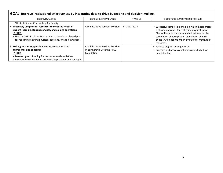| GOAL: Improve institutional effectiveness by integrating data to drive budgeting and decision-making.                                                                                                                                                                          |                                                                                        |                 |                                                                                                                                                                                                                                                                                      |  |  |
|--------------------------------------------------------------------------------------------------------------------------------------------------------------------------------------------------------------------------------------------------------------------------------|----------------------------------------------------------------------------------------|-----------------|--------------------------------------------------------------------------------------------------------------------------------------------------------------------------------------------------------------------------------------------------------------------------------------|--|--|
| OBJECTIVES/TACTICS                                                                                                                                                                                                                                                             | RESPONSIBLE INDIVIDUAL(S)                                                              | <b>TIMELINE</b> | OUTPUTS/DOCUMENTATION OF RESULTS                                                                                                                                                                                                                                                     |  |  |
| "Difficult Student" workshop for faculty.                                                                                                                                                                                                                                      |                                                                                        |                 |                                                                                                                                                                                                                                                                                      |  |  |
| 4. Effectively use physical resources to meet the needs of<br>student learning, student services, and college operations.<br><b>TACTICS</b><br>a. Use the 2012 Facilities Master Plan to develop a phased plan<br>for realigning existing physical space and/or add new space. | Administrative Services Division                                                       | FY 2012-2013    | • Successful completion of a plan which incorporates<br>a phased approach for realigning physical space.<br>Plan will include timelines and milestones for the<br>completion of each phase. Completion of each<br>phase will be dependent on availability of financial<br>resources. |  |  |
| 5. Write grants to support innovative, research-based<br>approaches and concepts.<br><b>TACTICS</b><br>a. Develop grants funding for institution-wide initiatives.<br>b. Evaluate the effectiveness of these approaches and concepts.                                          | <b>Administrative Services Division</b><br>in partnership with the PPCC<br>Foundation. |                 | • Success of grant writing efforts.<br>Program and process evaluations conducted for<br>new initiatives.                                                                                                                                                                             |  |  |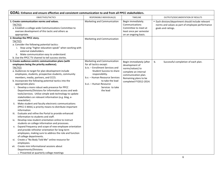| GOAL: Enhance and ensure effective and consistent communication to and from all PPCC stakeholders.                                                                                                                                                                                                                                                                                                                                                                                                                                                                                                                                                                                                                                                                                                                                                                                                                                                                                                                                                                                                                                                                                                                              |                                                                                                                                                                                                                                                          |                                                                                                                                                                  |                                                                                                                              |
|---------------------------------------------------------------------------------------------------------------------------------------------------------------------------------------------------------------------------------------------------------------------------------------------------------------------------------------------------------------------------------------------------------------------------------------------------------------------------------------------------------------------------------------------------------------------------------------------------------------------------------------------------------------------------------------------------------------------------------------------------------------------------------------------------------------------------------------------------------------------------------------------------------------------------------------------------------------------------------------------------------------------------------------------------------------------------------------------------------------------------------------------------------------------------------------------------------------------------------|----------------------------------------------------------------------------------------------------------------------------------------------------------------------------------------------------------------------------------------------------------|------------------------------------------------------------------------------------------------------------------------------------------------------------------|------------------------------------------------------------------------------------------------------------------------------|
| OBJECTIVES/TACTICS                                                                                                                                                                                                                                                                                                                                                                                                                                                                                                                                                                                                                                                                                                                                                                                                                                                                                                                                                                                                                                                                                                                                                                                                              | RESPONSIBLE INDIVIDUAL(S)                                                                                                                                                                                                                                | <b>TIMELINE</b>                                                                                                                                                  | OUTPUTS/DOCUMENTATION OF RESULTS                                                                                             |
| 1. Create communication norms and values.<br><b>TACTICS</b><br>a. Establish a college-wide Communications Committee to<br>oversee development of this tactic and others as<br>appropriate.                                                                                                                                                                                                                                                                                                                                                                                                                                                                                                                                                                                                                                                                                                                                                                                                                                                                                                                                                                                                                                      | Marketing and Communication                                                                                                                                                                                                                              | Begin immediately.<br>Communications<br>Committee to meet at<br>least once per semester<br>on an ongoing basis.                                                  | • Each division/department should include relevant<br>norms and values as part of employee performance<br>goals and ratings. |
| 2. Develop the PPCC story.                                                                                                                                                                                                                                                                                                                                                                                                                                                                                                                                                                                                                                                                                                                                                                                                                                                                                                                                                                                                                                                                                                                                                                                                      |                                                                                                                                                                                                                                                          |                                                                                                                                                                  |                                                                                                                              |
| <b>TACTICS</b><br>a. Consider the following potential tactics:<br>i. Stop using "higher education-speak" when working with<br>external stakeholders.<br>ii. Make communication easy to understand.                                                                                                                                                                                                                                                                                                                                                                                                                                                                                                                                                                                                                                                                                                                                                                                                                                                                                                                                                                                                                              | Marketing and Communication                                                                                                                                                                                                                              |                                                                                                                                                                  |                                                                                                                              |
| b. Use the PPCC TV channel to tell success stories.                                                                                                                                                                                                                                                                                                                                                                                                                                                                                                                                                                                                                                                                                                                                                                                                                                                                                                                                                                                                                                                                                                                                                                             |                                                                                                                                                                                                                                                          |                                                                                                                                                                  |                                                                                                                              |
| 3. Create audience-centric communication plans (with<br>employees being the priority audience).<br><b>TACTICS</b><br>a. Audiences to target for plan development include<br>employees, students, prospective students, community<br>members, media, partners, and CCCS.<br>b. Incorporate the following potential tactics into the<br>appropriate plans:<br>i. Develop a more robust web presence for PPCC<br>Departments/Divisions for information access and web<br>tools/services. Utilize simple web technology to update<br>stakeholders on relevant information (e.g. blog, e-<br>newsletter).<br>Make student and faculty electronic communications<br>ii.<br>(PPCC E-MAIL) a priority means to distribute important<br>information<br>Evaluate and refine the Portal to provide enhanced<br>iii.<br>information to students and staff.<br>Develop new student orientation online to instruct<br>iv.<br>students on college information and processes.<br>Expand frequency and scope of new employee orientation<br>v.<br>and provide refresher orientation for long-term<br>employees, making sure to address the role and function<br>of college departments.<br>Create a "No Body Told Me" online resource for<br>vi. | Marketing and Communication<br>for all tactics except:<br>b.iv. - Enrollment Services and<br>Student Success to share<br>responsibility.<br>b.v. - Human Resource Services<br>to take the lead<br>b.vi. - Human Resource<br>Services to take<br>the lead | Begin immediately (after<br>development of<br>norms/values) to<br>complete an internal<br>communication plan.<br>Remaining plans to be<br>completed FY2012-2014. | b <sub>1</sub><br>Successful completion of each plan.                                                                        |
| employees.<br>Create mini informational sessions about<br>vii.<br>Departments/Divisions<br>o Presented at quarterly college meetings                                                                                                                                                                                                                                                                                                                                                                                                                                                                                                                                                                                                                                                                                                                                                                                                                                                                                                                                                                                                                                                                                            |                                                                                                                                                                                                                                                          |                                                                                                                                                                  |                                                                                                                              |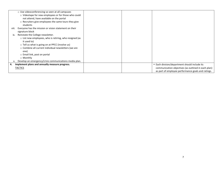|       | o Use videoconferencing so seen at all campuses<br>o Videotape for new employees or for those who could<br>not attend, have available on the portal<br>o Recruiters give employees the same tours they give |  |                                                                                                      |
|-------|-------------------------------------------------------------------------------------------------------------------------------------------------------------------------------------------------------------|--|------------------------------------------------------------------------------------------------------|
|       | students                                                                                                                                                                                                    |  |                                                                                                      |
| viii. | Everyone has the mission or vision statement on their<br>signature block                                                                                                                                    |  |                                                                                                      |
| ix.   | Reinstate the College newsletter.                                                                                                                                                                           |  |                                                                                                      |
|       | o List new employees, who is retiring, who resigned (as<br>it used to)                                                                                                                                      |  |                                                                                                      |
|       | $\circ$ Tell us what is going on at PPCC (involve us)                                                                                                                                                       |  |                                                                                                      |
|       | ○ Combine all current individual newsletters (we are                                                                                                                                                        |  |                                                                                                      |
|       | one)                                                                                                                                                                                                        |  |                                                                                                      |
|       | ○ Email link, post on portal                                                                                                                                                                                |  |                                                                                                      |
|       | ○ Monthly                                                                                                                                                                                                   |  |                                                                                                      |
|       | Develop an emergency/crisis communications media plan.                                                                                                                                                      |  |                                                                                                      |
|       | 4. Implement plans and annually measure progress.<br><b>TACTICS</b>                                                                                                                                         |  | • Each division/department should include its<br>communication objectives (as outlined in each plan) |
|       |                                                                                                                                                                                                             |  | as part of employee performance goals and ratings.                                                   |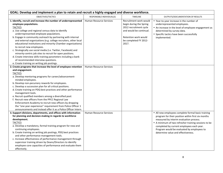| GOAL: Develop and implement a plan to retain and recruit a highly engaged and diverse workforce.                                                                                                                                                                                                                                                                                                                                                                                                                                                                                                                                                                                                                                     |                                |                                                                                                                                                                  |                                                                                                                                                                                                                                                                                                                                              |
|--------------------------------------------------------------------------------------------------------------------------------------------------------------------------------------------------------------------------------------------------------------------------------------------------------------------------------------------------------------------------------------------------------------------------------------------------------------------------------------------------------------------------------------------------------------------------------------------------------------------------------------------------------------------------------------------------------------------------------------|--------------------------------|------------------------------------------------------------------------------------------------------------------------------------------------------------------|----------------------------------------------------------------------------------------------------------------------------------------------------------------------------------------------------------------------------------------------------------------------------------------------------------------------------------------------|
| OBJECTIVES/TACTICS                                                                                                                                                                                                                                                                                                                                                                                                                                                                                                                                                                                                                                                                                                                   | RESPONSIBLE INDIVIDUAL(S)      | <b>TIMELINE</b>                                                                                                                                                  | OUTPUTS/DOCUMENTATION OF RESULTS                                                                                                                                                                                                                                                                                                             |
| 1. Identify, recruit and increase the number of underrepresented<br>employee populations.<br><b>TACTICS</b><br>a. Use college and regional census data to identify<br>underrepresented employee populations.<br>b. Engage in community outreach by partnering with internal<br>and external organizations (e.g. college recruiters, other local<br>educational institutions and minority Chamber organizations)<br>to recruit new employees.<br>c. Strategically use social media (i.e. Twitter, Facebook) and<br>minority-centric job sites to recruit for open positions.<br>d. Create interview skills training parameters including a bank<br>of recommended interview questions.<br>e. Create training on writing job postings. | Human Resource Services        | Recruitment work would<br>begin during the Spring<br>2012 recruitment cycle<br>and would be continual.<br>Retention work would<br>be completed FY 2012-<br>2017. | • Year-to-year increase in the number of<br>underrepresented employees.<br>• An increase in the level of employee engagement as<br>determined by survey data.<br>• Specific tactics have been successfully<br>implemented.                                                                                                                   |
| 2. Create programs that increase the level of employee retention<br>and engagement.<br><b>TACTICS</b><br>a. Develop mentoring programs for career/advancement-<br>minded employees.<br>b. Develop non-pecuniary rewards for employees.<br>c. Develop a succession plan for all critical positions.<br>d. Create training on PDQ best practices and other performance<br>management tools.<br>e. Recruit qualified members among a diversified pool.<br>f. Recruit new officers from the PPCC Regional Law<br>Enforcement Academy to recruit new officers by dropping<br>the "one year experience" requirement from Police Officer 1<br>announcements and instead offer it as a Police Officer Intern.                                | <b>Human Resource Services</b> |                                                                                                                                                                  |                                                                                                                                                                                                                                                                                                                                              |
| 3. Support divisions, departments, and offices with information<br>for planning and decision-making in regards to workforce<br>development.<br><b>TACTICS</b><br>a. Develop a mandatory, formal training program for new and<br>continuing employees.<br>b. Create training on writing job postings, PDQ best practices<br>and other performance management tools.<br>c. Increase effectiveness of performance management through<br>supervisor training driven by Deans/Directors to identify<br>employee core capacities of performance and evaluate them<br>effectively.                                                                                                                                                          | <b>Human Resource Services</b> |                                                                                                                                                                  | • All new employees complete formal basic training<br>program for their position within first six months<br>measured by interim evaluation process.<br>• A minimum of two refresher training sessions to be<br>completed by current employees each year.<br>Program would be evaluated by employees to<br>determine value and effectiveness. |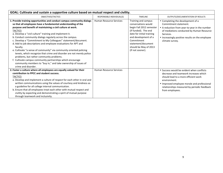| GOAL: Cultivate and sustain a supportive culture based on mutual respect and civility.                                                                                                                                                                                                                                                                                                                                                                                                                                                                                                                                                                                                                                                                                                                                                               |                                |                                                                                                                                                                                                                                      |                                                                                                                                                                                                                                                             |  |  |
|------------------------------------------------------------------------------------------------------------------------------------------------------------------------------------------------------------------------------------------------------------------------------------------------------------------------------------------------------------------------------------------------------------------------------------------------------------------------------------------------------------------------------------------------------------------------------------------------------------------------------------------------------------------------------------------------------------------------------------------------------------------------------------------------------------------------------------------------------|--------------------------------|--------------------------------------------------------------------------------------------------------------------------------------------------------------------------------------------------------------------------------------|-------------------------------------------------------------------------------------------------------------------------------------------------------------------------------------------------------------------------------------------------------------|--|--|
| OBJECTIVES/TACTICS                                                                                                                                                                                                                                                                                                                                                                                                                                                                                                                                                                                                                                                                                                                                                                                                                                   | RESPONSIBLE INDIVIDUAL(S)      | <b>TIMELINE</b>                                                                                                                                                                                                                      | OUTPUTS/DOCUMENTATION OF RESULTS                                                                                                                                                                                                                            |  |  |
| 1. Provide training opportunities and conduct campus community dialogs<br>so that all employees have a fundamental understanding of the<br>purpose and benefit of maintaining a civil culture at work.<br><b>TACTICS</b><br>a. Develop a "civil culture" training and implement it.<br>b. Conduct community dialogs regularly across the campus.<br>c. Develop a "Commitment to My Colleagues" statement/document.<br>d. Add to job descriptions and employee evaluations for APT and<br>faculty.<br>e. Cultivate "a sense of community" via community oriented policing<br>tenets, which recognize that crime and disorder are not merely police<br>problems, but rather community problems.<br>f. Cultivate campus community partnerships which encourage<br>community members to "buy in," and take ownership of issues of<br>crime and disorder. | Human Resource Services        | Training and campus<br>conversations would<br>begin Fall 2012 semester<br>(if funded). The end<br>date for initial training<br>and development of a<br>Commitment<br>statement/document<br>should be May of 2013<br>(if not sooner). | • Completing the development of a<br>Commitment statement.<br>• A reduction from year-to-year in the number<br>of mediations conducted by Human Resource<br>Services.<br>• Increasingly positive results on the employee<br>climate survey.                 |  |  |
| 2. Foster a culture where all employees are equally valued for their<br>contribution to PPCC and student success.<br><b>TACTICS</b><br>a. Develop and implement a culture of respect for each other in oral and<br>written communications using the values of courtesy and kindness as<br>a guideline for all college internal communication.<br>b. Ensure that all employees treat each other with mutual respect and<br>civility by expecting and demonstrating a spirit of mutual purpose<br>through teamwork and inclusivity.                                                                                                                                                                                                                                                                                                                    | <b>Human Resource Services</b> |                                                                                                                                                                                                                                      | • Success would be evident when conflicts<br>decrease and teamwork increases which<br>should lead to a more efficient work<br>environment.<br>• Improved employee morale and professional<br>relationships measured by periodic feedback<br>from employees. |  |  |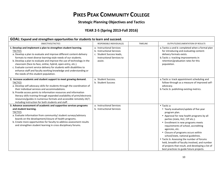## **PIKES PEAK COMMUNITY COLLEGE**

#### **Strategic Planning Objectives and Tactics**

### **YEAR 2-5 (Spring 2013-Fall 2016)**

| GOAL: Expand and strengthen opportunities for students to learn and succeed.                                                                                                                                                                                                                                                                                                                                                                                                                                                                               |                                                                                                                                    |                 |                                                                                                                                                                                                                                                                                                                                                                                                                                                                                                                                     |  |
|------------------------------------------------------------------------------------------------------------------------------------------------------------------------------------------------------------------------------------------------------------------------------------------------------------------------------------------------------------------------------------------------------------------------------------------------------------------------------------------------------------------------------------------------------------|------------------------------------------------------------------------------------------------------------------------------------|-----------------|-------------------------------------------------------------------------------------------------------------------------------------------------------------------------------------------------------------------------------------------------------------------------------------------------------------------------------------------------------------------------------------------------------------------------------------------------------------------------------------------------------------------------------------|--|
| OBJECTIVES/TACTICS                                                                                                                                                                                                                                                                                                                                                                                                                                                                                                                                         | RESPONSIBLE INDIVIDUAL(S)                                                                                                          | <b>TIMELINE</b> | OUTPUTS/DOCUMENTATION OF RESULTS                                                                                                                                                                                                                                                                                                                                                                                                                                                                                                    |  |
| 1. Develop and implement a plan to strengthen student learning.<br><b>TACTICS</b><br>a. Develop a plan to evaluate and improve different content-delivery<br>formats to meet diverse learning-style needs of our students.<br>b. Develop a plan to evaluate and improve the use of technology in the<br>classroom (face-to-face, online, hybrid, open-entry, etc.).<br>c. Evaluate current service delivery for students with disabilities to<br>enhance staff and faculty working knowledge and understanding or<br>the needs of this student population. | a. Instructional Services<br>b. Instructional Services<br>c. Student Success leads,<br><b>Instructional Services to</b><br>assist. |                 | a. Tactics a and b: completed when a formal plan<br>for introducing and evaluating content-<br>delivery formats exists.<br>b. Tactic c: tracking improvements in<br>retention/graduation rates for this<br>population.                                                                                                                                                                                                                                                                                                              |  |
| 2. Increase academic and student support to meet growing demand.<br><b>TACTICS</b><br>a. Develop self-advocacy skills for students through the coordination of<br>their individual services and accommodations.<br>b. Provide access points to information resources and information<br>literacy skills training through expanded availability of print/electronic<br>resources/guides in numerous formats and accessible remotely 24/7,<br>including instruction for both students and staff.                                                             | a. Student Success.<br>b. Student Success                                                                                          |                 | a. Tactic a: track appointment scheduling and<br>follow-through as a measure of improved self-<br>advocacy.<br>b. Tactic b: publishing existing metrics.                                                                                                                                                                                                                                                                                                                                                                            |  |
| 3. Advance assessment of academic and supportive services programs<br>and student learning.<br><b>TACTICS</b><br>a. Evaluate information from community/ student surveys/advisory<br>boards on the development/closure of health programs.<br>b. Create more opportunities for faculty to address assessment results<br>and strengthen student learning in cross disciplinary forums.                                                                                                                                                                      | a. Instructional Services<br>b. Instructional Services                                                                             |                 | • Tactic a:<br>• Yearly evaluation/update of five year<br>program plan.<br>• Approval for new health programs by all<br>parties (state, HLC, CIP etc.).<br>• Enrollment in new programs meets<br>requirements of school, accrediting<br>agencies, etc.<br>• Closure of programs occurs within<br>school/state, national guidelines.<br>• Tactic b: Assessing the number of forums<br>held, breadth of faculty involved, and number<br>of projects that result, and developing a list of<br>best practices to guide future projects. |  |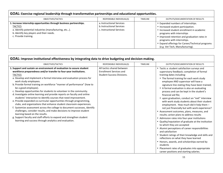| GOAL: Exercise regional leadership through transformative partnerships and educational opportunities.                                                                                                               |                                                                                     |                 |                                                                                                                                                                                                                                                                                                                          |  |
|---------------------------------------------------------------------------------------------------------------------------------------------------------------------------------------------------------------------|-------------------------------------------------------------------------------------|-----------------|--------------------------------------------------------------------------------------------------------------------------------------------------------------------------------------------------------------------------------------------------------------------------------------------------------------------------|--|
| OBJECTIVES/TACTICS                                                                                                                                                                                                  | RESPONSIBLE INDIVIDUAL(S)                                                           | <b>TIMELINE</b> | OUTPUTS/DOCUMENTATION OF RESULTS                                                                                                                                                                                                                                                                                         |  |
| 1. Increase internship opportunities through business partnerships.<br><b>TACTICS</b><br>a. Identify potential industries (manufacturing, etc).<br>b. Identify key players and their needs.<br>c. Provide training. | a. Instructional Services<br>b. Instructional Services<br>c. Instructional Services |                 | • Expanded numbers of internships.<br>• Increased student participation.<br>• Increased student enrollment in academic<br>programs with internships<br>• Improved retention and graduation rates in<br>programs with internships.<br>• Expand offerings for Career/Technical programs<br>(e.g. Vet Tech, Manufacturing). |  |

| GOAL: Improve institutional effectiveness by integrating data to drive budgeting and decision-making.                                                                                                                                                                                                                                                                                                                                                                                                                                                                                                                                                                                                                                                                                                                                                                                                                                                                                                                                                                |                                                                                                   |                 |                                                                                                                                                                                                                                                                                                                                                                                                                                                                                                                                                                                                                                                                                                                                                                                                                                                                                                                                                                                                                                                                                                                                                  |  |  |
|----------------------------------------------------------------------------------------------------------------------------------------------------------------------------------------------------------------------------------------------------------------------------------------------------------------------------------------------------------------------------------------------------------------------------------------------------------------------------------------------------------------------------------------------------------------------------------------------------------------------------------------------------------------------------------------------------------------------------------------------------------------------------------------------------------------------------------------------------------------------------------------------------------------------------------------------------------------------------------------------------------------------------------------------------------------------|---------------------------------------------------------------------------------------------------|-----------------|--------------------------------------------------------------------------------------------------------------------------------------------------------------------------------------------------------------------------------------------------------------------------------------------------------------------------------------------------------------------------------------------------------------------------------------------------------------------------------------------------------------------------------------------------------------------------------------------------------------------------------------------------------------------------------------------------------------------------------------------------------------------------------------------------------------------------------------------------------------------------------------------------------------------------------------------------------------------------------------------------------------------------------------------------------------------------------------------------------------------------------------------------|--|--|
| OBJECTIVES/TACTICS                                                                                                                                                                                                                                                                                                                                                                                                                                                                                                                                                                                                                                                                                                                                                                                                                                                                                                                                                                                                                                                   | RESPONSIBLE INDIVIDUAL(S)                                                                         | <b>TIMELINE</b> | OUTPUTS/DOCUMENTATION OF RESULTS                                                                                                                                                                                                                                                                                                                                                                                                                                                                                                                                                                                                                                                                                                                                                                                                                                                                                                                                                                                                                                                                                                                 |  |  |
| 1. Support and sustain an environment of evaluation to assure student<br>workforce preparedness and/or transfer to four-year institutions.<br><b>TACTICS</b><br>a. Develop and implement a formal interview and evaluation process for<br>work study employees.<br>b. Provide formal training on workforce "manner of performance" (how to<br>be a good employee).<br>c. Develop opportunities for students to volunteer in the community.<br>d. Investigate online learning and provide reports on faculty and online<br>students' interaction to identify courses that need improvement.<br>e. Provide expanded co-curricular opportunities through programming,<br>clubs, and organizations that enhance student classroom experiences.<br>f. Systemize assessment across the college to document successes, identify<br>challenges, consider results, and make decisions to improve student<br>learning based on the results.<br>g. Support faculty and staff efforts to expand and strengthen student<br>learning and success through analytics and evaluation. | All tactics shared between<br><b>Enrollment Services and</b><br><b>Student Success Divisions.</b> |                 | • Tactic a: student satisfaction surveys and<br>supervisory feedback; completion of formal<br>training dates including:<br>• The formal training for each work study<br>employee AND supervisor will have a<br>signature line stating they have been trained;<br>• A formal evaluation is also an evaluating<br>process and can be kept in the student's<br>financial aid file;<br>• upon graduation, conduct an "exit" interview<br>with work study students about their student<br>employment. How much did it help them -<br>not just financially but with work experience?<br>• Assessment outcomes, plans, measures, and<br>results; action plans to address results<br>• Admission rates into four-year institutions<br>• Quality/reputation of graduate at the institution<br>to which they are accepted<br>• Alumni perceptions of career responsibilities<br>and satisfaction<br>• Student ratings of their knowledge and skills and<br>reflections on what they have learned<br>• Honors, awards, and scholarships earned by<br>students<br>• Placement rates of graduates into appropriate<br>career positions and starting salaries. |  |  |